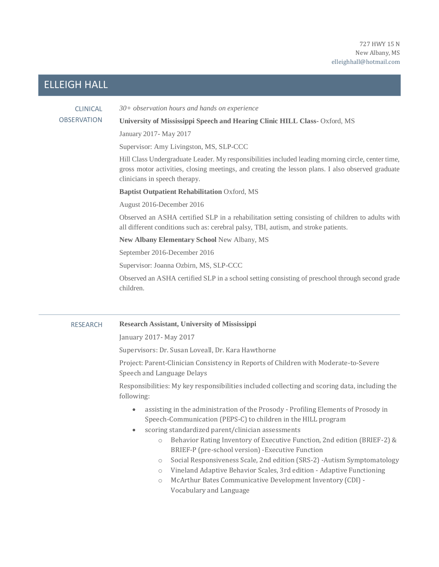# ELLEIGH HALL

# CLINICAL **OBSERVATION**

*30+ observation hours and hands on experience*

### **University of Mississippi Speech and Hearing Clinic HILL Class-** Oxford, MS

January 2017- May 2017

Supervisor: Amy Livingston, MS, SLP-CCC

Hill Class Undergraduate Leader. My responsibilities included leading morning circle, center time, gross motor activities, closing meetings, and creating the lesson plans. I also observed graduate clinicians in speech therapy.

#### **Baptist Outpatient Rehabilitation** Oxford, MS

August 2016-December 2016

Observed an ASHA certified SLP in a rehabilitation setting consisting of children to adults with all different conditions such as: cerebral palsy, TBI, autism, and stroke patients.

**New Albany Elementary School** New Albany, MS

September 2016-December 2016

Supervisor: Joanna Ozbirn, MS, SLP-CCC

Observed an ASHA certified SLP in a school setting consisting of preschool through second grade children.

# RESEARCH **Research Assistant, University of Mississippi**

January 2017- May 2017

Supervisors: Dr. Susan Loveall, Dr. Kara Hawthorne

Project: Parent-Clinician Consistency in Reports of Children with Moderate-to-Severe Speech and Language Delays

Responsibilities: My key responsibilities included collecting and scoring data, including the following:

- assisting in the administration of the Prosody Profiling Elements of Prosody in Speech-Communication (PEPS-C) to children in the HILL program
- scoring standardized parent/clinician assessments
	- o Behavior Rating Inventory of Executive Function, 2nd edition (BRIEF-2) & BRIEF-P (pre-school version) -Executive Function
	- o Social Responsiveness Scale, 2nd edition (SRS-2) -Autism Symptomatology
	- o Vineland Adaptive Behavior Scales, 3rd edition Adaptive Functioning
	- o McArthur Bates Communicative Development Inventory (CDI) Vocabulary and Language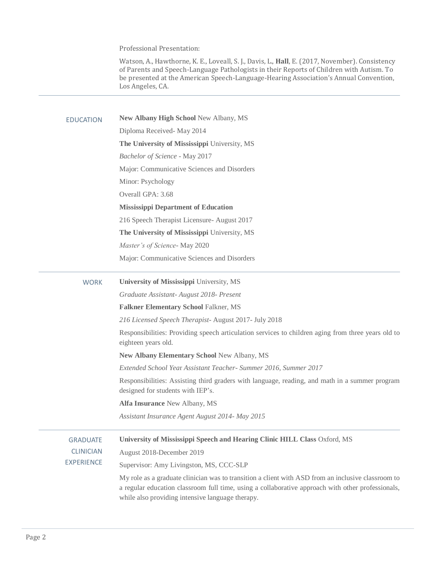Professional Presentation:

Watson, A., Hawthorne, K. E., Loveall, S. J., Davis, L., **Hall**, E. (2017, November). Consistency of Parents and Speech-Language Pathologists in their Reports of Children with Autism. To be presented at the American Speech-Language-Hearing Association's Annual Convention, Los Angeles, CA.

| <b>EDUCATION</b>  | New Albany High School New Albany, MS                                                                                                                                                                                                                       |  |
|-------------------|-------------------------------------------------------------------------------------------------------------------------------------------------------------------------------------------------------------------------------------------------------------|--|
|                   | Diploma Received-May 2014                                                                                                                                                                                                                                   |  |
|                   | The University of Mississippi University, MS                                                                                                                                                                                                                |  |
|                   | Bachelor of Science - May 2017                                                                                                                                                                                                                              |  |
|                   | Major: Communicative Sciences and Disorders                                                                                                                                                                                                                 |  |
|                   | Minor: Psychology                                                                                                                                                                                                                                           |  |
|                   | Overall GPA: 3.68                                                                                                                                                                                                                                           |  |
|                   | <b>Mississippi Department of Education</b>                                                                                                                                                                                                                  |  |
|                   | 216 Speech Therapist Licensure- August 2017                                                                                                                                                                                                                 |  |
|                   | The University of Mississippi University, MS                                                                                                                                                                                                                |  |
|                   | Master's of Science-May 2020                                                                                                                                                                                                                                |  |
|                   | Major: Communicative Sciences and Disorders                                                                                                                                                                                                                 |  |
| <b>WORK</b>       | University of Mississippi University, MS                                                                                                                                                                                                                    |  |
|                   | Graduate Assistant- August 2018- Present                                                                                                                                                                                                                    |  |
|                   | <b>Falkner Elementary School Falkner, MS</b>                                                                                                                                                                                                                |  |
|                   | 216 Licensed Speech Therapist- August 2017- July 2018                                                                                                                                                                                                       |  |
|                   | Responsibilities: Providing speech articulation services to children aging from three years old to<br>eighteen years old.                                                                                                                                   |  |
|                   | New Albany Elementary School New Albany, MS                                                                                                                                                                                                                 |  |
|                   | Extended School Year Assistant Teacher- Summer 2016, Summer 2017                                                                                                                                                                                            |  |
|                   | Responsibilities: Assisting third graders with language, reading, and math in a summer program<br>designed for students with IEP's.                                                                                                                         |  |
|                   | Alfa Insurance New Albany, MS                                                                                                                                                                                                                               |  |
|                   | Assistant Insurance Agent August 2014- May 2015                                                                                                                                                                                                             |  |
| <b>GRADUATE</b>   | University of Mississippi Speech and Hearing Clinic HILL Class Oxford, MS                                                                                                                                                                                   |  |
| <b>CLINICIAN</b>  | August 2018-December 2019                                                                                                                                                                                                                                   |  |
| <b>EXPERIENCE</b> | Supervisor: Amy Livingston, MS, CCC-SLP                                                                                                                                                                                                                     |  |
|                   | My role as a graduate clinician was to transition a client with ASD from an inclusive classroom to<br>a regular education classroom full time, using a collaborative approach with other professionals,<br>while also providing intensive language therapy. |  |